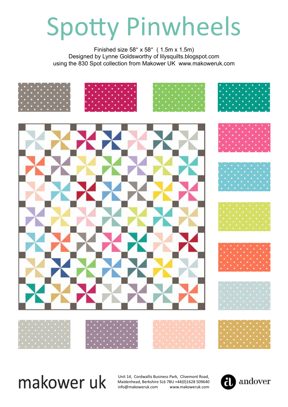# Spotty Pinwheels

Finished size 58" x 58" ( 1.5m x 1.5m) Designed by Lynne Goldsworthy of lilysquilts.blogspot.com using the 830 Spot collection from Makower UK www.makoweruk.com











## makower uk

Unit 14, Cordwallis Business Park, Clivemont Road, Maidenhead, Berkshire SL6 7BU +44(0)1628 509640 info@makoweruk.com www.makoweruk.com

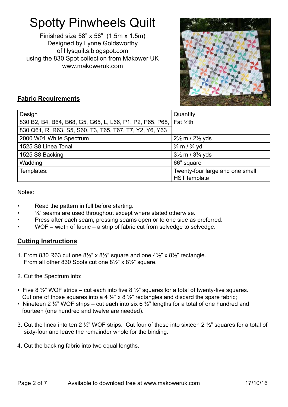### Spotty Pinwheels Quilt

Finished size 58" x 58" (1.5m x 1.5m) Designed by Lynne Goldsworthy of lilysquilts.blogspot.com using the 830 Spot collection from Makower UK www.makoweruk.com



#### **Fabric Requirements**

| Design                                                                          | Quantity                                        |
|---------------------------------------------------------------------------------|-------------------------------------------------|
| 830 B2, B4, B64, B68, G5, G65, L, L66, P1, P2, P65, P68, Fat 1/ <sub>8</sub> th |                                                 |
| 830 Q61, R, R63, S5, S60, T3, T65, T67, T7, Y2, Y6, Y63                         |                                                 |
| 2000 W01 White Spectrum                                                         | $2\frac{1}{2}$ m / $2\frac{1}{2}$ yds           |
| 1525 S8 Linea Tonal                                                             | $\frac{3}{4}$ m / $\frac{3}{4}$ yd              |
| 1525 S8 Backing                                                                 | $3\frac{1}{2}$ m / $3\frac{3}{4}$ yds           |
| Wadding                                                                         | 66" square                                      |
| Templates:                                                                      | Twenty-four large and one small<br>HST template |

Notes:

- Read the pattern in full before starting.
- $\frac{1}{4}$ " seams are used throughout except where stated otherwise.
- Press after each seam, pressing seams open or to one side as preferred.
- $WOF = width of fabric a strip of fabric cut from selvedge to selvedge.$

#### **Cutting Instructions**

- 1. From 830 R63 cut one  $8\frac{1}{2}$ " x  $8\frac{1}{2}$ " square and one  $4\frac{1}{2}$ " x  $8\frac{1}{2}$ " rectangle. From all other 830 Spots cut one 8½" x 8½" square.
- 2. Cut the Spectrum into:
- Five 8  $\frac{1}{2}$ " WOF strips cut each into five 8  $\frac{1}{2}$ " squares for a total of twenty-five squares. Cut one of those squares into a 4  $\frac{1}{2}$ " x 8  $\frac{1}{2}$ " rectangles and discard the spare fabric;
- Nineteen 2  $\frac{1}{2}$ " WOF strips cut each into six 6  $\frac{1}{2}$ " lengths for a total of one hundred and fourteen (one hundred and twelve are needed).
- 3. Cut the linea into ten 2 ½" WOF strips. Cut four of those into sixteen 2 ½" squares for a total of sixty-four and leave the remainder whole for the binding.
- 4. Cut the backing fabric into two equal lengths.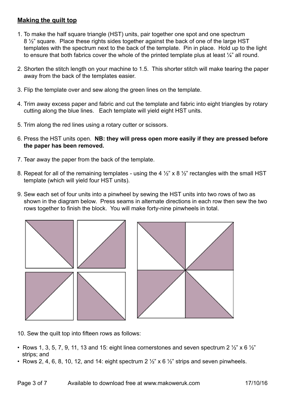#### **Making the quilt top**

- 1. To make the half square triangle (HST) units, pair together one spot and one spectrum 8 ½" square. Place these rights sides together against the back of one of the large HST templates with the spectrum next to the back of the template. Pin in place. Hold up to the light to ensure that both fabrics cover the whole of the printed template plus at least ¼" all round.
- 2. Shorten the stitch length on your machine to 1.5. This shorter stitch will make tearing the paper away from the back of the templates easier.
- 3. Flip the template over and sew along the green lines on the template.
- 4. Trim away excess paper and fabric and cut the template and fabric into eight triangles by rotary cutting along the blue lines. Each template will yield eight HST units.
- 5. Trim along the red lines using a rotary cutter or scissors.
- 6. Press the HST units open. **NB: they will press open more easily if they are pressed before the paper has been removed.**
- 7. Tear away the paper from the back of the template.
- 8. Repeat for all of the remaining templates using the 4  $\frac{1}{2}$ " x 8  $\frac{1}{2}$ " rectangles with the small HST template (which will yield four HST units).
- 9. Sew each set of four units into a pinwheel by sewing the HST units into two rows of two as shown in the diagram below. Press seams in alternate directions in each row then sew the two rows together to finish the block. You will make forty-nine pinwheels in total.



10. Sew the quilt top into fifteen rows as follows:

- Rows 1, 3, 5, 7, 9, 11, 13 and 15; eight linea cornerstones and seven spectrum 2  $\frac{1}{2}$ " x 6  $\frac{1}{2}$ " strips; and
- Rows 2, 4, 6, 8, 10, 12, and 14: eight spectrum 2  $\frac{1}{2}$ " x 6  $\frac{1}{2}$ " strips and seven pinwheels.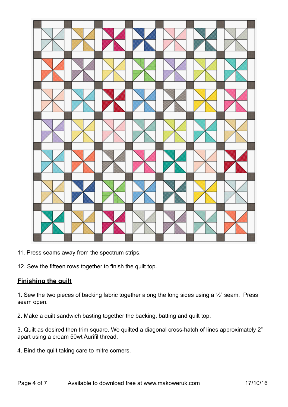

11. Press seams away from the spectrum strips.

12. Sew the fifteen rows together to finish the quilt top.

#### **Finishing the quilt**

1. Sew the two pieces of backing fabric together along the long sides using a  $\frac{1}{2}$ " seam. Press seam open.

2. Make a quilt sandwich basting together the backing, batting and quilt top.

3. Quilt as desired then trim square. We quilted a diagonal cross-hatch of lines approximately 2" apart using a cream 50wt Aurifil thread.

4. Bind the quilt taking care to mitre corners.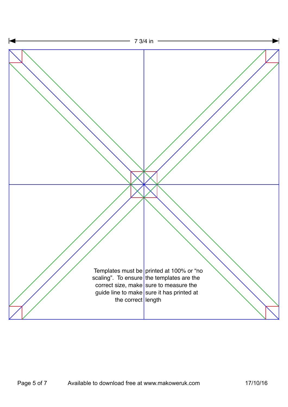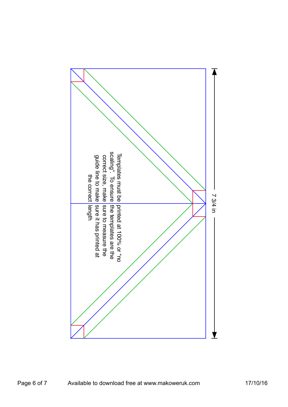